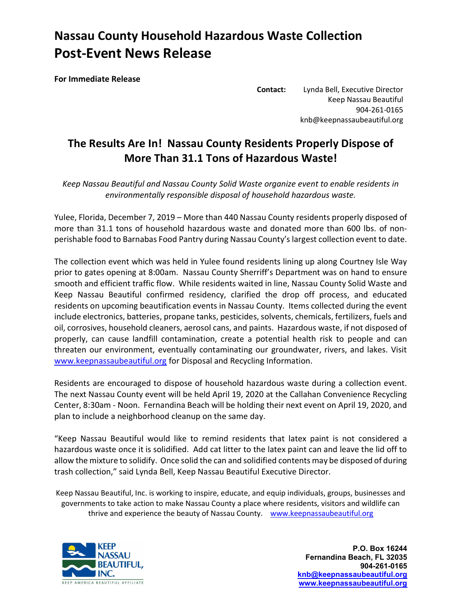## Nassau County Household Hazardous Waste Collection Post-Event News Release

For Immediate Release

Contact: Lynda Bell, Executive Director Keep Nassau Beautiful 904-261-0165 knb@keepnassaubeautiful.org

## The Results Are In! Nassau County Residents Properly Dispose of More Than 31.1 Tons of Hazardous Waste!

Keep Nassau Beautiful and Nassau County Solid Waste organize event to enable residents in environmentally responsible disposal of household hazardous waste.

Yulee, Florida, December 7, 2019 – More than 440 Nassau County residents properly disposed of more than 31.1 tons of household hazardous waste and donated more than 600 lbs. of nonperishable food to Barnabas Food Pantry during Nassau County's largest collection event to date.

The collection event which was held in Yulee found residents lining up along Courtney Isle Way prior to gates opening at 8:00am. Nassau County Sherriff's Department was on hand to ensure smooth and efficient traffic flow. While residents waited in line, Nassau County Solid Waste and Keep Nassau Beautiful confirmed residency, clarified the drop off process, and educated residents on upcoming beautification events in Nassau County. Items collected during the event include electronics, batteries, propane tanks, pesticides, solvents, chemicals, fertilizers, fuels and oil, corrosives, household cleaners, aerosol cans, and paints. Hazardous waste, if not disposed of properly, can cause landfill contamination, create a potential health risk to people and can threaten our environment, eventually contaminating our groundwater, rivers, and lakes. Visit www.keepnassaubeautiful.org for Disposal and Recycling Information.

Residents are encouraged to dispose of household hazardous waste during a collection event. The next Nassau County event will be held April 19, 2020 at the Callahan Convenience Recycling Center, 8:30am - Noon. Fernandina Beach will be holding their next event on April 19, 2020, and plan to include a neighborhood cleanup on the same day.

"Keep Nassau Beautiful would like to remind residents that latex paint is not considered a hazardous waste once it is solidified. Add cat litter to the latex paint can and leave the lid off to allow the mixture to solidify. Once solid the can and solidified contents may be disposed of during trash collection," said Lynda Bell, Keep Nassau Beautiful Executive Director.

Keep Nassau Beautiful, Inc. is working to inspire, educate, and equip individuals, groups, businesses and governments to take action to make Nassau County a place where residents, visitors and wildlife can thrive and experience the beauty of Nassau County. www.keepnassaubeautiful.org



P.O. Box 16244 Fernandina Beach, FL 32035 904-261-0165 knb@keepnassaubeautiful.org www.keepnassaubeautiful.org